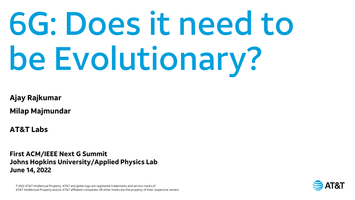# 6G: Does it need to be Evolutionary?

**Ajay Rajkumar**

**Milap Majmundar**

**AT&T Labs**

**First ACM/IEEE Next G Summit Johns Hopkins University/Applied Physics Lab June 14, 2022**

© 2022 AT&T Intellectual Property. AT&T and globe logo are registered trademarks and service marks of AT&T Intellectual Property and/or AT&T affiliated companies. All other marks are the property of their respective owners

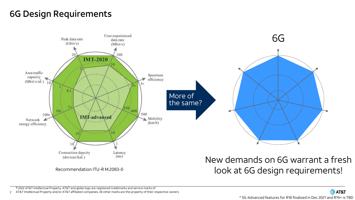# 6G Design Requirements

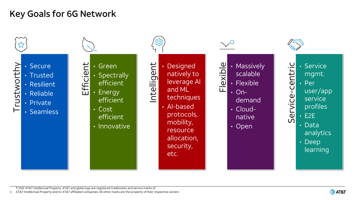# Key Goals for 6G Network



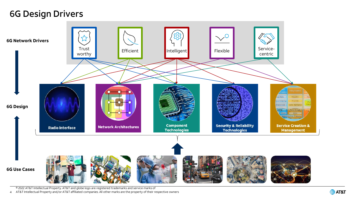## 6G Design Drivers



© 2022 AT&T Intellectual Property. AT&T and globe logo are registered trademarks and service marks of

4 AT&T Intellectual Property and/or AT&T affiliated companies. All other marks are the property of their respective owners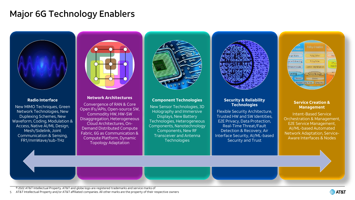# Major 6G Technology Enablers



## **Radio Interface**

New MIMO Techniques, Green Network Technologies, New Duplexing Schemes, New Waveform, Coding, Modulation & Access, Native AI/ML Design, Mesh/Sidelink, Joint Communication & Sensing, FR1/mmWave/sub-THz



## **Network Architectures**

Convergence of RAN & Core Open IFs/APIs, Open-source SW, Commodity HW, HW-SW Disaggregation, Heterogeneous Cloud Architectures, On-Demand Distributed Compute Fabric, 6G as Communication & Compute Platform, Dynamic Topology Adaptation



## **Component Technologies**

New Sensor Technologies, 3D Holography and Immersive Displays, New Battery Technologies, Heterogeneous Components, Nanotechnology Components, New RF Transceiver and Antenna **Technologies** 

## **Security & Reliability Technologies**

Flexible Security Architecture, Trusted HW and SW Identities, E2E Privacy, Data Protection, Real-Time Threat/Fault Detection & Recovery, Air Interface Security, AI/ML-based Security and Trust



## **Service Creation & Management**

Intent-Based Service Orchestration & Management, E2E Service Management, AI/ML-based Automated Network Adaptation, Service-Aware Interfaces & Nodes

© 2022 AT&T Intellectual Property. AT&T and globe logo are registered trademarks and service marks of

5 AT&T Intellectual Property and/or AT&T affiliated companies. All other marks are the property of their respective owners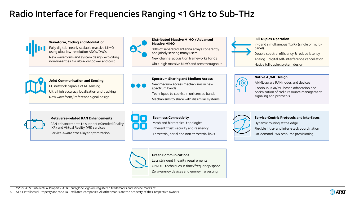# Radio Interface for Frequencies Ranging <1 GHz to Sub-THz



**Green Communications**

Less stringent linearity requirements

ON/OFF techniques in time/frequency/space Zero-energy devices and energy harvesting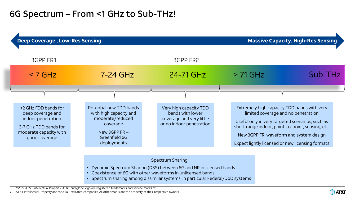## 6G Spectrum – From <1 GHz to Sub-THz!

| <b>Massive Capacity, High-Res Sensing</b><br><b>Deep Coverage, Low-Res Sensing</b>                                                  |                                                                                                                                      |                                                                                                    |            |                                                                                                                                                                                                                                                                                           |  |
|-------------------------------------------------------------------------------------------------------------------------------------|--------------------------------------------------------------------------------------------------------------------------------------|----------------------------------------------------------------------------------------------------|------------|-------------------------------------------------------------------------------------------------------------------------------------------------------------------------------------------------------------------------------------------------------------------------------------------|--|
| 3GPP FR1                                                                                                                            |                                                                                                                                      | 3GPP FR2                                                                                           |            |                                                                                                                                                                                                                                                                                           |  |
| $< 7$ GHz                                                                                                                           | $7-24$ GHz                                                                                                                           | 24-71 GHz                                                                                          | $> 71$ GHz | Sub-THz                                                                                                                                                                                                                                                                                   |  |
|                                                                                                                                     |                                                                                                                                      |                                                                                                    |            |                                                                                                                                                                                                                                                                                           |  |
| <2 GHz FDD bands for<br>deep coverage and<br>indoor penetration<br>3-7 GHz TDD bands for<br>moderate capacity with<br>good coverage | Potential new TDD bands<br>with high capacity and<br>moderate/reduced<br>coverage<br>New 3GPP $FR -$<br>Greenfield 6G<br>deployments | Very high capacity TDD<br>bands with lower<br>coverage and very little<br>or no indoor penetration |            | Extremely high capacity TDD bands with very<br>limited coverage and no penetration<br>Useful only in very targeted scenarios, such as<br>short range indoor, point-to-point, sensing, etc.<br>New 3GPP FR, waveform and system design<br>Expect lightly licensed or new licensing formats |  |

Spectrum Sharing

- Dynamic Spectrum Sharing (DSS) between 6G and NR in licensed bands
- Coexistence of 6G with other waveforms in unlicensed bands
- Spectrum sharing among dissimilar systems, in particular Federal/DoD systems

© 2022 AT&T Intellectual Property. AT&T and globe logo are registered trademarks and service marks of

7 AT&T Intellectual Property and/or AT&T affiliated companies. All other marks are the property of their respective owners